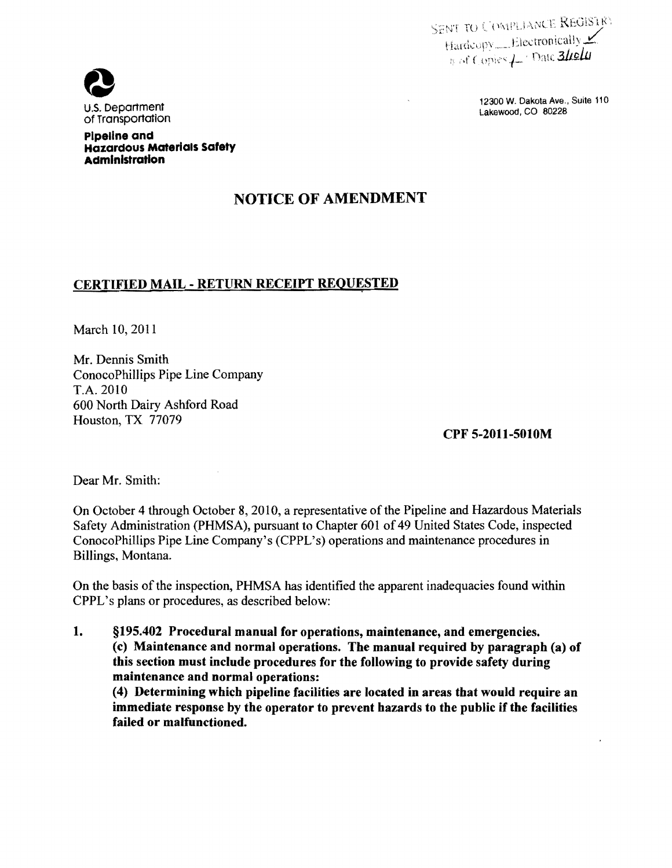SENT TO COMPLIANCE REGISTRY Hardcopy Electronically  $\frac{1}{n}$  of Copies  $\frac{1}{n}$  Date 3liely



U.S. Department November 2002 W. Dakota Ave., Suite 110<br>Of Transportation

**Pipeline and Hazardous Materials Safety Administration** 

# **NOTICE OF AMENDMENT**

## **CERTIFIED MAIL - RETURN RECEIPT REQUESTED**

March 10,2011

Mr. Dennis Smith ConocoPhillips Pipe Line Company T.A. 2010 600 North Dairy Ashford Road Houston, TX 77079

**CPF 5-2011-5010M** 

Dear Mr. Smith:

On October 4 through October 8, 2010, a representative of the Pipeline and Hazardous Materials Safety Administration (PHMSA), pursuant to Chapter 601 of 49 United States Code, inspected ConocoPhillips Pipe Line Company's (CPPL's) operations and maintenance procedures in Billings, Montana.

On the basis of the inspection, PHMSA has identified the apparent inadequacies found within CPPL's plans or procedures, as described below:

**1. §195.402 Procedural manual for operations, maintenance, and emergencies. (c) Maintenance and normal operations. The manual required by paragraph (a) of this section must include procedures for the following to provide safety during maintenance and normal operations:**  (4) Determining which pipeline facilities are located in areas that would require an

**immediate response by the operator to prevent hazards to the public if the facilities failed or malfunctioned.**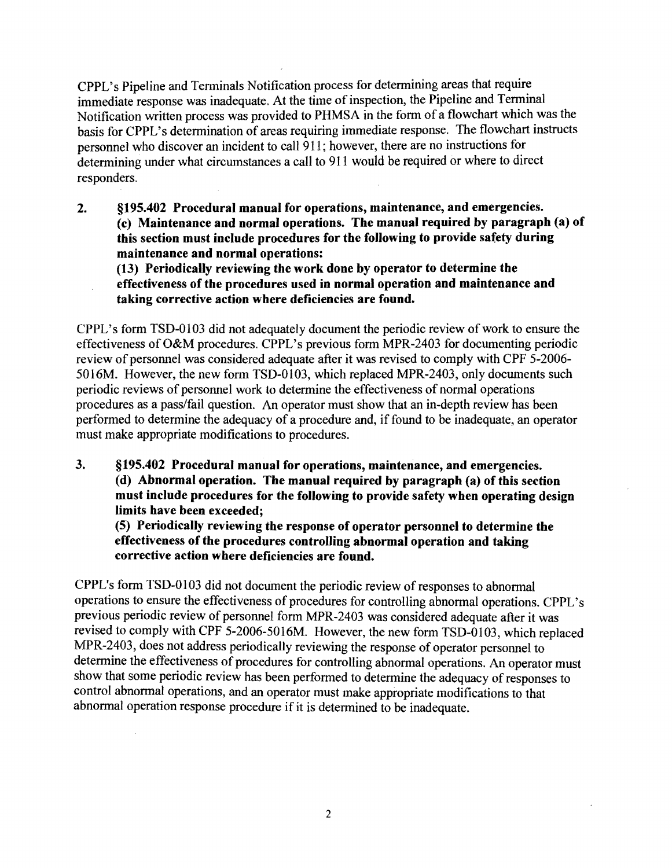CPPL's Pipeline and Terminals Notification process for determining areas that require immediate response was inadequate. At the time of inspection, the Pipeline and Terminal Notification written process was provided to PHMSA in the form of a flowchart which was the basis for CPPL's determination of areas requiring immediate response. The flowchart instructs personnel who discover an incident to call 911; however, there are no instructions for determining under what circumstances a call to 911 would be required or where to direct responders.

2. §195.402 Procedural manual for operations, maintenance, and emergencies. (c) Maintenance and normal operations. The manual required by paragraph (a) of this section must include procedures for the following to provide safety during maintenance and normal operations:

(13) Periodically reviewing the work done by operator to determine the effectiveness of the procedures used in normal operation and maintenance and taking corrective action where deficiencies are found.

CPPL's form TSD-0103 did not adequately document the periodic review of work to ensure the effectiveness of O&M procedures. CPPL's previous form MPR-2403 for documenting periodic review of personnel was considered adequate after it was revised to comply with CPF 5-2006-5016M. However, the new form TSD-0103, which replaced MPR-2403, only documents such periodic reviews of personnel work to determine the effectiveness of normal operations procedures as a pass/fail question. An operator must show that an in-depth review has been performed to determine the adequacy of a procedure and, iffound to be inadequate, an operator must make appropriate modifications to procedures.

3. §195.402 Procedural manual for operations, maintenance, and emergencies. (d) Abnormal operation. The manual required by paragraph (a) of this section must include procedures for the following to provide safety when operating design limits have been exceeded;

(5) Periodically reviewing the response of operator personnel to determine the effectiveness of the procedures controlling abnormal operation and taking corrective action where deficiencies are found.

CPPL's form TSD-0103 did not document the periodic review of responses to abnormal operations to ensure the effectiveness of procedures for controlling abnormal operations. CPPL's previous periodic review of personnel form MPR-2403 was considered adequate after it was revised to comply with CPF 5-2006-5016M. However, the new form TSD-0103, which replaced MPR-2403, does not address periodically reviewing the response of operator personnel to determine the effectiveness of procedures for controlling abnormal operations. An operator must show that some periodic review has been performed to determine the adequacy of responses to control abnormal operations, and an operator must make appropriate modifications to that abnormal operation response procedure if it is determined to be inadequate.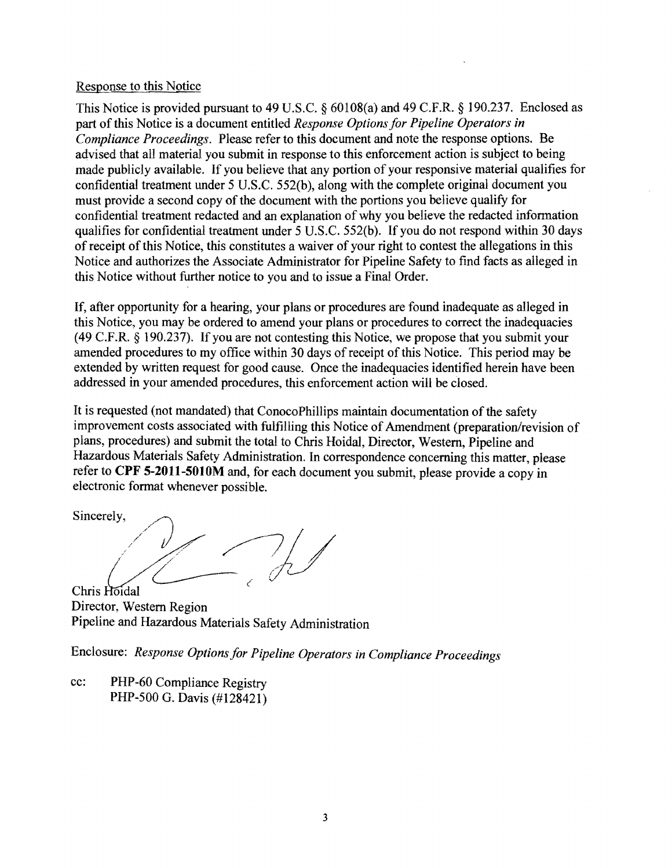#### Response to this Notice

This Notice is provided pursuant to 49 U.S.C.  $\S$  60108(a) and 49 C.F.R.  $\S$  190.237. Enclosed as part of this Notice is a document entitled *Response Options for Pipeline Operators in Compliance Proceedings.* Please refer to this document and note the response options. Be advised that all material you submit in response to this enforcement action is subject to being made publicly available. If you believe that any portion of your responsive material qualifies for confidential treatment under 5 U.S.c. 552(b), along with the complete original document you must provide a second copy of the document with the portions you believe qualify for confidential treatment redacted and an explanation of why you believe the redacted infonnation qualifies for confidential treatment under 5 U.S.C. 552(b). If you do not respond within 30 days of receipt of this Notice, this constitutes a waiver of your right to contest the allegations in this Notice and authorizes the Associate Administrator for Pipeline Safety to find facts as alleged in this Notice without further notice to you and to issue a Final Order.

If, after opportunity for a hearing, your plans or procedures are found inadequate as alleged in this Notice, you may be ordered to amend your plans or procedures to correct the inadequacies (49 C.F.R. § 190.237). If you are not contesting this Notice, we propose that you submit your amended procedures to my office within 30 days of receipt of this Notice. This period may be extended by written request for good cause. Once the inadequacies identified herein have been addressed in your amended procedures, this enforcement action will be closed.

It is requested (not mandated) that ConocoPhillips maintain documentation of the safety improvement costs associated with fulfilling this Notice of Amendment (preparation/revision of plans, procedures) and submit the total to Chris Hoidal, Director, Western, Pipeline and Hazardous Materials Safety Administration. In correspondence concerning this matter, please refer to **CPF 5-2011-5010M** and, for each document you submit, please provide a copy in electronic fonnat whenever possible.

Sincerely,  $\mathcal{A}$  -  $\mathcal{A}$ Chris Hoidal

Director, Western Region Pipeline and Hazardous Materials Safety Administration

Enclosure: *Response Options for Pipeline Operators in Compliance Proceedings* 

cc: PHP-60 Compliance Registry PHP-500 G. Davis (#128421)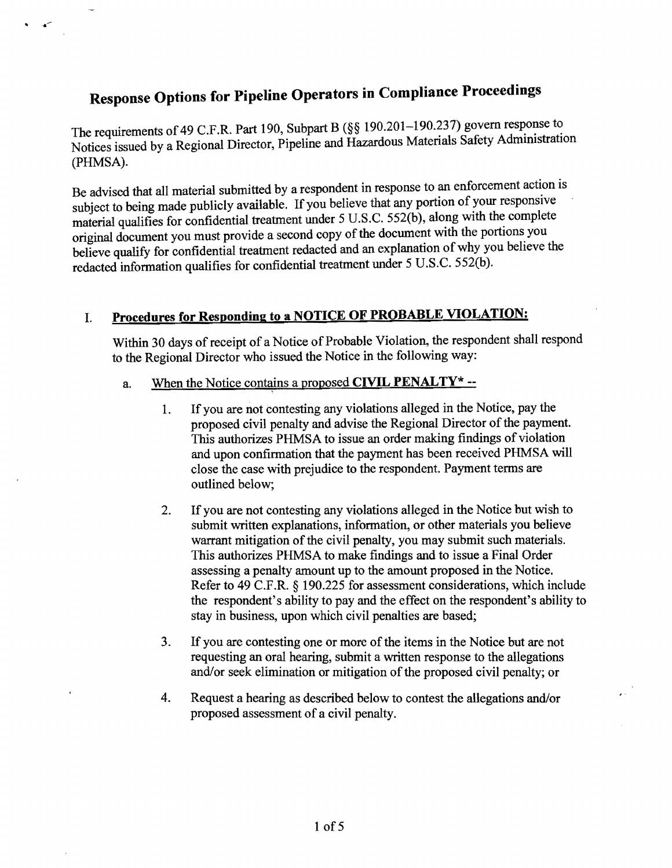# Response Options for Pipeline Operators in Compliance Proceedings

· .

The requirements of 49 C.F.R. Part 190, Subpart B (§§ 190.201-190.237) govern response to Notices issued by a Regional Director, Pipeline and Hazardous Materials Safety Administration (PHMSA).

Be advised that all material submitted by a respondent in response to an enforcement action is subject to being made publicly available. If you believe that any portion of your responsive material qualifies for confidential treatment under 5 U.S.c. 552(b), along with the complete original document you must provide a second copy ofthe document with the portions you believe qualify for confidential treatment redacted and an explanation ofwhy you believe the redacted information qualifies for confidential treatment under 5 U.S.C. 552(b).

# I. Procedures for Responding to a NOTICE OF PROBABLE VIOLATION:

Within 30 days of receipt of a Notice of Probable Violation, the respondent shall respond to the Regional Director who issued the Notice in the following way;

#### a. When the Notice contains a proposed CIVIL PENALTY  $*$  --

- I. If you are not contesting any violations alleged in the Notice, pay the proposed civil penalty and advise the Regional Director of the payment. This authorizes PHMSA to issue an order making findings of violation and upon confirmation that the payment has been received PHMSA will close the case with prejudice to the respondent. Payment terms are outlined below;
- 2. If you are not contesting any violations alleged in the Notice but wish to submit written explanations, information, or other materials you believe warrant mitigation of the civil penalty, you may submit such materials. This authorizes PHMSA to make findings and to issue a Final Order assessing a penalty amount up to the amount proposed in the Notice. Refer to 49 C.F.R. § 190.225 for assessment considerations, which include the respondent's ability to pay and the effect on the respondent's ability to stay in business, upon which civil penalties are based;
- 3. If you are contesting one or more of the items in the Notice but are not requesting an oral hearing, submit a written response to the allegations and/or seek elimination or mitigation of the proposed civil penalty; or
- 4. Request a hearing as described below to contest the allegations and/or proposed assessment of a civil penalty.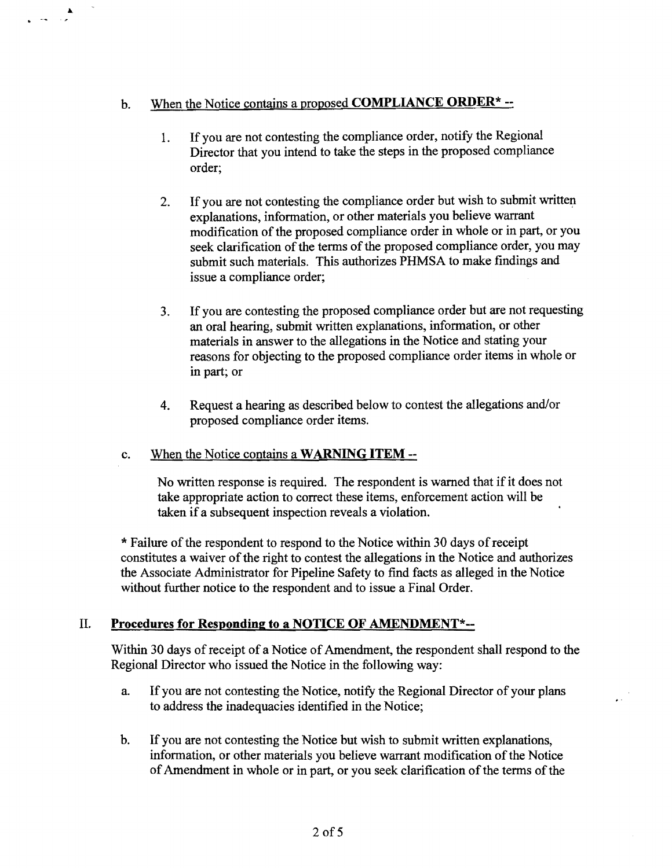# b. When the Notice contains a proposed **COMPLIANCE ORDER\*** -

·

- 1. If you are not contesting the compliance order, notify the Regional Director that you intend to take the steps in the proposed compliance order;
- 2. If you are not contesting the compliance order but wish to submit written explanations, information, or other materials you believe warrant modification of the proposed compliance order in whole or in part, or you seek clarification of the terms of the proposed compliance order, you may submit such materials. This authorizes PHMSA to make findings and issue a compliance order;
- 3. If you are contesting the proposed compliance order but are not requesting an oral hearing, submit written explanations, information, or other materials in answer to the allegations in the Notice and stating your reasons for objecting to the proposed compliance order items in whole or in part; or
- 4. Request a hearing as described below to contest the allegations and/or proposed compliance order items.

## c. When the Notice contains a **WARNING ITEM -**

No written response is required. The respondent is warned that if it does not take appropriate action to correct these items, enforcement action will be taken if a subsequent inspection reveals a violation.

\* Failure of the respondent to respond to the Notice within 30 days of receipt constitutes a waiver of the right to contest the allegations in the Notice and authorizes the Associate Administrator for Pipeline Safety to find facts as alleged in the Notice without further notice to the respondent and to issue a Final Order.

# II. **Procedures for Responding to a NOTICE OF AMENDMENT\*-**

Within 30 days of receipt of a Notice of Amendment, the respondent shall respond to the Regional Director who issued the Notice in the following way:

- a. If you are not contesting the Notice, notify the Regional Director of your plans to address the inadequacies identified in the Notice;
- b. If you are not contesting the Notice but wish to submit written explanations, information, or other materials you believe warrant modification of the Notice of Amendment in whole or in part, or you seek clarification of the terms of the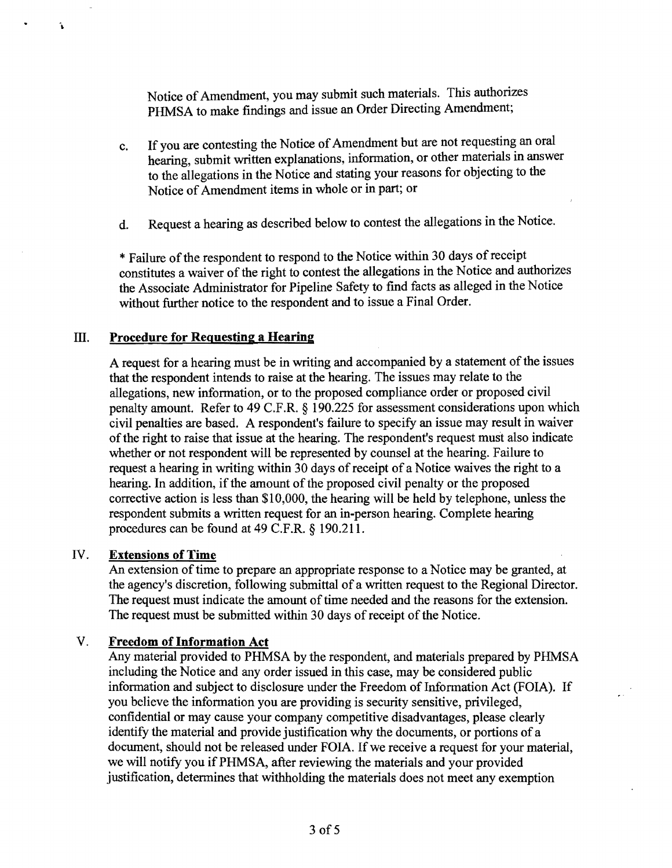Notice of Amendment, you may submit such materials. This authorizes PHMSA to make findings and issue an Order Directing Amendment;

- c. If you are contesting the Notice of Amendment but are not requesting an oral hearing, submit written explanations, information, or other materials in answer to the allegations in the Notice and stating your reasons for objecting to the Notice of Amendment items in whole or in part; or
- d. Request a hearing as described below to contest the allegations in the Notice.

\* Failure of the respondent to respond to the Notice within 30 days of receipt constitutes a waiver of the right to contest the allegations in the Notice and authorizes the Associate Administrator for Pipeline Safety to find facts as alleged in the Notice without further notice to the respondent and to issue a Final Order.

#### III. **Procedure for Requesting a Hearing**

A request for a hearing must be in writing and accompanied by a statement of the issues that the respondent intends to raise at the hearing. The issues may relate to the allegations, new information, or to the proposed compliance order or proposed civil penalty amount. Refer to 49 C.F .R. § 190.225 for assessment considerations upon which civil penalties are based. A respondent's failure to specify an issue may result in waiver ofthe right to raise that issue at the hearing. The respondent's request must also indicate whether or not respondent will be represented by counsel at the hearing. Failure to request a hearing in writing within 30 days of receipt of a Notice waives the right to a hearing. In addition, if the amount of the proposed civil penalty or the proposed corrective action is less than \$10,000, the hearing will be held by telephone, unless the respondent submits a written request for an in-person hearing. Complete hearing procedures can be found at 49 C.F.R. § 190.211.

#### IV. **Extensions of Time**

ĥ.

An extension of time to prepare an appropriate response to a Notice may be granted, at the agency's discretion, following submittal of a written request to the Regional Director. The request must indicate the amount of time needed and the reasons for the extension. The request must be submitted within 30 days of receipt of the Notice.

#### V. **Freedom of Information Act**

Any material provided to PHMSA by the respondent, and materials prepared by PHMSA including the Notice and any order issued in this case, may be considered public information and subject to disclosure under the Freedom of Information Act (FOIA). If you believe the information you are providing is security sensitive, privileged, confidential or may cause your company competitive disadvantages, please clearly identify the material and provide justification why the documents, or portions of a document, should not be released under FOIA. If we receive a request for your material, we will notify you if PHMSA, after reviewing the materials and your provided justification, determines that withholding the materials does not meet any exemption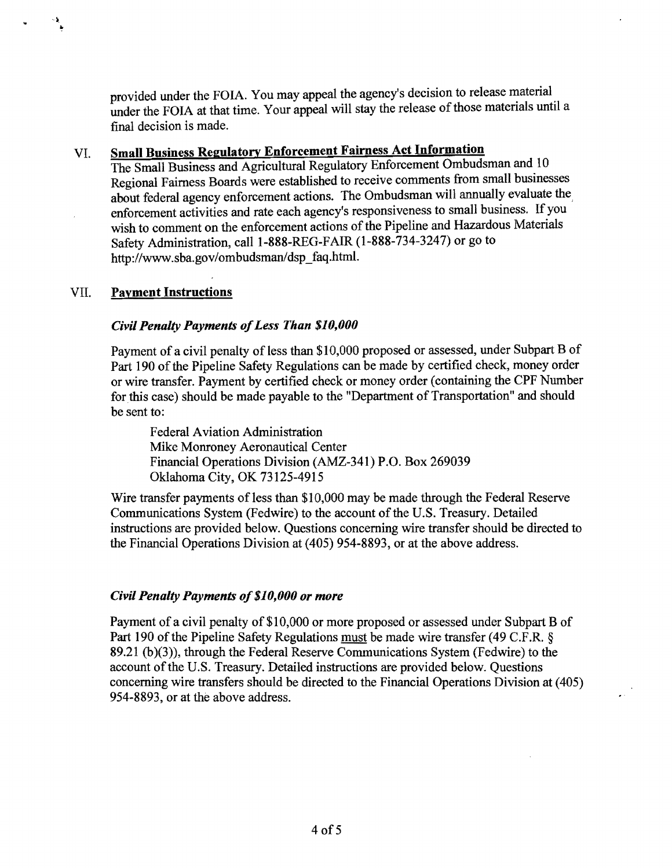provided under the FOIA. You may appeal the agency's decision to release material under the FOIA at that time. Your appeal will stay the release of those materials until a final decision is made.

# VI. Small Business Regulatory Enforcement Fairness Act Information

The Small Business and Agricultural Regulatory Enforcement Ombudsman and 10 Regional Fairness Boards were established to receive comments from small businesses about federal agency enforcement actions. The Ombudsman will annually evaluate the, enforcement activities and rate each agency's responsiveness to small business. If you wish to comment on the enforcement actions of the Pipeline and Hazardous Materials Safety Administration, call 1-888-REG-FAIR (1-888-734-3247) or go to http://www.sba.gov/ombudsman/dsp\_faq.html.

#### VII. Payment Instructions

..

#### *Civil Penalty Payments ofLess Than \$10,000*

Payment of a civil penalty of less than \$10,000 proposed or assessed, under Subpart B of Part 190 of the Pipeline Safety Regulations can be made by certified check, money order or wire transfer. Payment by certified check or money order (containing the CPF Number for this case) should be made payable to the "Department of Transportation" and should be sent to:

Federal Aviation Administration Mike Monroney Aeronautical Center Financial Operations Division (AMZ-341) P.O. Box 269039 Oklahoma City, OK 73125-4915

Wire transfer payments of less than \$10,000 may be made through the Federal Reserve Communications System (Fedwire) to the account of the U.S. Treasury. Detailed instructions are provided below. Questions concerning wire transfer should be directed to the Financial Operations Division at (405) 954-8893, or at the above address.

#### *Civil Penalty Payments of\$10, 000 or more*

Payment of a civil penalty of \$10,000 or more proposed or assessed under Subpart B of Part 190 of the Pipeline Safety Regulations must be made wire transfer (49 C.F.R. § 89.21 (b)(3)), through the Federal Reserve Communications System (Fedwire) to the account of the U.S. Treasury. Detailed instructions are provided below. Questions concerning wire transfers should be directed to the Financial Operations Division at (405) 954-8893, or at the above address.